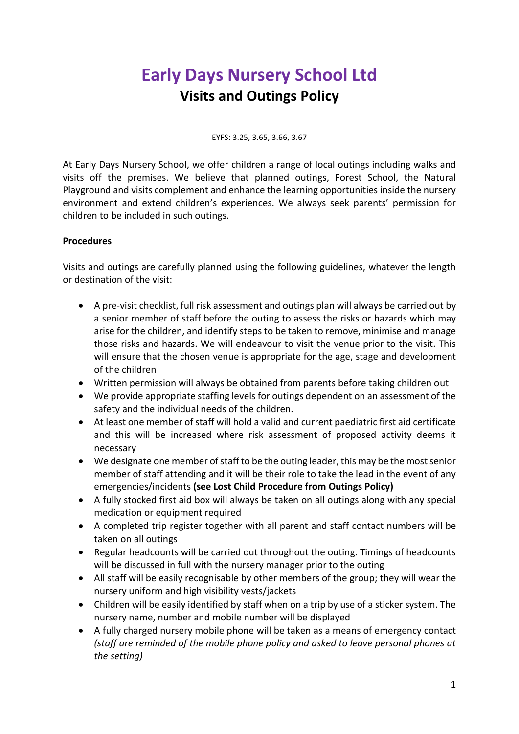# **Early Days Nursery School Ltd Visits and Outings Policy**

EYFS: 3.25, 3.65, 3.66, 3.67

At Early Days Nursery School, we offer children a range of local outings including walks and visits off the premises. We believe that planned outings, Forest School, the Natural Playground and visits complement and enhance the learning opportunities inside the nursery environment and extend children's experiences. We always seek parents' permission for children to be included in such outings.

## **Procedures**

Visits and outings are carefully planned using the following guidelines, whatever the length or destination of the visit:

- A pre-visit checklist, full risk assessment and outings plan will always be carried out by a senior member of staff before the outing to assess the risks or hazards which may arise for the children, and identify steps to be taken to remove, minimise and manage those risks and hazards. We will endeavour to visit the venue prior to the visit. This will ensure that the chosen venue is appropriate for the age, stage and development of the children
- Written permission will always be obtained from parents before taking children out
- We provide appropriate staffing levels for outings dependent on an assessment of the safety and the individual needs of the children.
- At least one member of staff will hold a valid and current paediatric first aid certificate and this will be increased where risk assessment of proposed activity deems it necessary
- We designate one member of staff to be the outing leader, this may be the most senior member of staff attending and it will be their role to take the lead in the event of any emergencies/incidents **(see Lost Child Procedure from Outings Policy)**
- A fully stocked first aid box will always be taken on all outings along with any special medication or equipment required
- A completed trip register together with all parent and staff contact numbers will be taken on all outings
- Regular headcounts will be carried out throughout the outing. Timings of headcounts will be discussed in full with the nursery manager prior to the outing
- All staff will be easily recognisable by other members of the group; they will wear the nursery uniform and high visibility vests/jackets
- Children will be easily identified by staff when on a trip by use of a sticker system. The nursery name, number and mobile number will be displayed
- A fully charged nursery mobile phone will be taken as a means of emergency contact *(staff are reminded of the mobile phone policy and asked to leave personal phones at the setting)*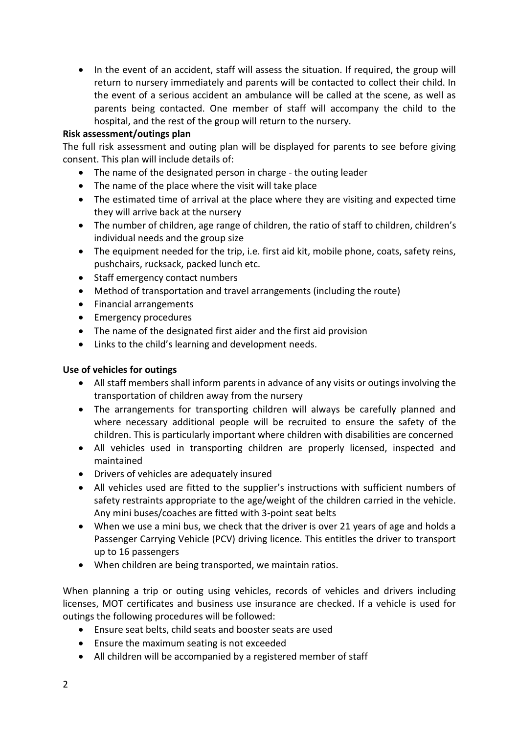• In the event of an accident, staff will assess the situation. If required, the group will return to nursery immediately and parents will be contacted to collect their child. In the event of a serious accident an ambulance will be called at the scene, as well as parents being contacted. One member of staff will accompany the child to the hospital, and the rest of the group will return to the nursery.

### **Risk assessment/outings plan**

The full risk assessment and outing plan will be displayed for parents to see before giving consent. This plan will include details of:

- The name of the designated person in charge the outing leader
- The name of the place where the visit will take place
- The estimated time of arrival at the place where they are visiting and expected time they will arrive back at the nursery
- The number of children, age range of children, the ratio of staff to children, children's individual needs and the group size
- The equipment needed for the trip, i.e. first aid kit, mobile phone, coats, safety reins, pushchairs, rucksack, packed lunch etc.
- Staff emergency contact numbers
- Method of transportation and travel arrangements (including the route)
- Financial arrangements
- Emergency procedures
- The name of the designated first aider and the first aid provision
- Links to the child's learning and development needs.

### **Use of vehicles for outings**

- All staff members shall inform parents in advance of any visits or outings involving the transportation of children away from the nursery
- The arrangements for transporting children will always be carefully planned and where necessary additional people will be recruited to ensure the safety of the children. This is particularly important where children with disabilities are concerned
- All vehicles used in transporting children are properly licensed, inspected and maintained
- Drivers of vehicles are adequately insured
- All vehicles used are fitted to the supplier's instructions with sufficient numbers of safety restraints appropriate to the age/weight of the children carried in the vehicle. Any mini buses/coaches are fitted with 3-point seat belts
- When we use a mini bus, we check that the driver is over 21 years of age and holds a Passenger Carrying Vehicle (PCV) driving licence. This entitles the driver to transport up to 16 passengers
- When children are being transported, we maintain ratios.

When planning a trip or outing using vehicles, records of vehicles and drivers including licenses, MOT certificates and business use insurance are checked. If a vehicle is used for outings the following procedures will be followed:

- Ensure seat belts, child seats and booster seats are used
- Ensure the maximum seating is not exceeded
- All children will be accompanied by a registered member of staff